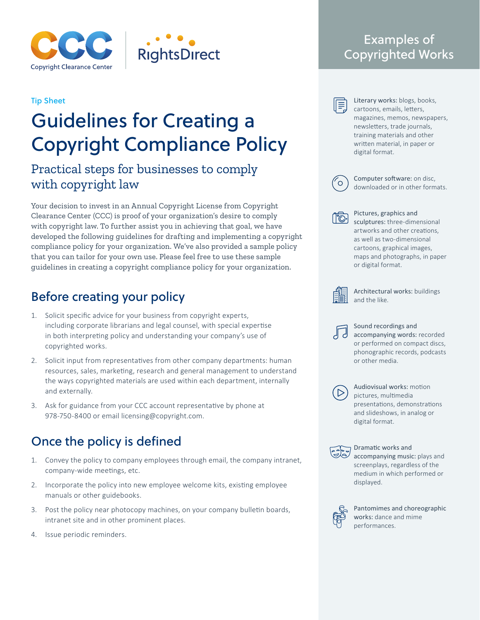

### Tip Sheet

# Guidelines for Creating a Copyright Compliance Policy

# Practical steps for businesses to comply with copyright law

Your decision to invest in an Annual Copyright License from Copyright Clearance Center (CCC) is proof of your organization's desire to comply with copyright law. To further assist you in achieving that goal, we have developed the following guidelines for drafting and implementing a copyright compliance policy for your organization. We've also provided a sample policy that you can tailor for your own use. Please feel free to use these sample guidelines in creating a copyright compliance policy for your organization.

# Before creating your policy

- 1. Solicit specific advice for your business from copyright experts, including corporate librarians and legal counsel, with special expertise in both interpreting policy and understanding your company's use of copyrighted works.
- 2. Solicit input from representatives from other company departments: human resources, sales, marketing, research and general management to understand the ways copyrighted materials are used within each department, internally and externally.
- 3. Ask for guidance from your CCC account representative by phone at 978-750-8400 or email licensing@copyright.com.

# Once the policy is defined

- 1. Convey the policy to company employees through email, the company intranet, company-wide meetings, etc.
- 2. Incorporate the policy into new employee welcome kits, existing employee manuals or other guidebooks.
- 3. Post the policy near photocopy machines, on your company bulletin boards, intranet site and in other prominent places.
- 4. Issue periodic reminders.

# Examples of Copyrighted Works

Literary works: blogs, books, cartoons, emails, letters, magazines, memos, newspapers, newsletters, trade journals, training materials and other written material, in paper or digital format.



l≡

Computer software: on disc, downloaded or in other formats.



Pictures, graphics and sculptures: three-dimensional artworks and other creations, as well as two-dimensional cartoons, graphical images, maps and photographs, in paper or digital format.



Architectural works: buildings and the like.



Sound recordings and accompanying words: recorded or performed on compact discs, phonographic records, podcasts or other media.



Audiovisual works: motion pictures, multimedia presentations, demonstrations and slideshows, in analog or digital format.



Dramatic works and accompanying music: plays and screenplays, regardless of the medium in which performed or displayed.



Pantomimes and choreographic works: dance and mime performances.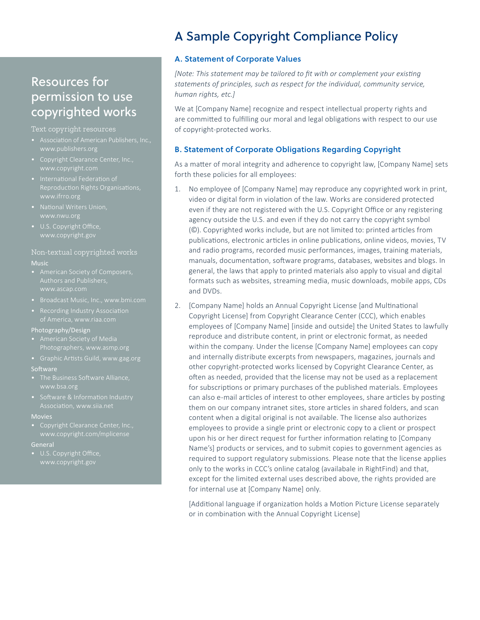## Resources for permission to use copyrighted works

#### Text copyright resources

- 
- Copyright Clearance Center, Inc., www.copyright.com
- Reproduction Rights Organisations, www.ifrro.org
- 
- 

### Non-textual copyrighted works

#### Music

- Authors and Publishers,
- 
- Recording Industry Association

#### Photography/Design

- 
- Graphic Artists Guild, www.gag.org

#### Software

- The Business Software Alliance, www.bsa.org
- 

#### Movies

#### General

U.S. Copyright Office,

# A Sample Copyright Compliance Policy

### **A. Statement of Corporate Values**

*[Note: This statement may be tailored to fit with or complement your existing statements of principles, such as respect for the individual, community service, human rights, etc.]*

We at [Company Name] recognize and respect intellectual property rights and are committed to fulfilling our moral and legal obligations with respect to our use of copyright-protected works.

### **B. Statement of Corporate Obligations Regarding Copyright**

As a matter of moral integrity and adherence to copyright law, [Company Name] sets forth these policies for all employees:

- 1. No employee of [Company Name] may reproduce any copyrighted work in print, video or digital form in violation of the law. Works are considered protected even if they are not registered with the U.S. Copyright Office or any registering agency outside the U.S. and even if they do not carry the copyright symbol (©). Copyrighted works include, but are not limited to: printed articles from publications, electronic articles in online publications, online videos, movies, TV and radio programs, recorded music performances, images, training materials, manuals, documentation, software programs, databases, websites and blogs. In general, the laws that apply to printed materials also apply to visual and digital formats such as websites, streaming media, music downloads, mobile apps, CDs and DVDs.
- 2. [Company Name] holds an Annual Copyright License [and Multinational Copyright License] from Copyright Clearance Center (CCC), which enables employees of [Company Name] [inside and outside] the United States to lawfully reproduce and distribute content, in print or electronic format, as needed within the company. Under the license [Company Name] employees can copy and internally distribute excerpts from newspapers, magazines, journals and other copyright-protected works licensed by Copyright Clearance Center, as often as needed, provided that the license may not be used as a replacement for subscriptions or primary purchases of the published materials. Employees can also e-mail articles of interest to other employees, share articles by posting them on our company intranet sites, store articles in shared folders, and scan content when a digital original is not available. The license also authorizes employees to provide a single print or electronic copy to a client or prospect upon his or her direct request for further information relating to [Company Name's] products or services, and to submit copies to government agencies as required to support regulatory submissions. Please note that the license applies only to the works in CCC's online catalog (availabale in RightFind) and that, except for the limited external uses described above, the rights provided are for internal use at [Company Name] only.

[Additional language if organization holds a Motion Picture License separately or in combination with the Annual Copyright License]